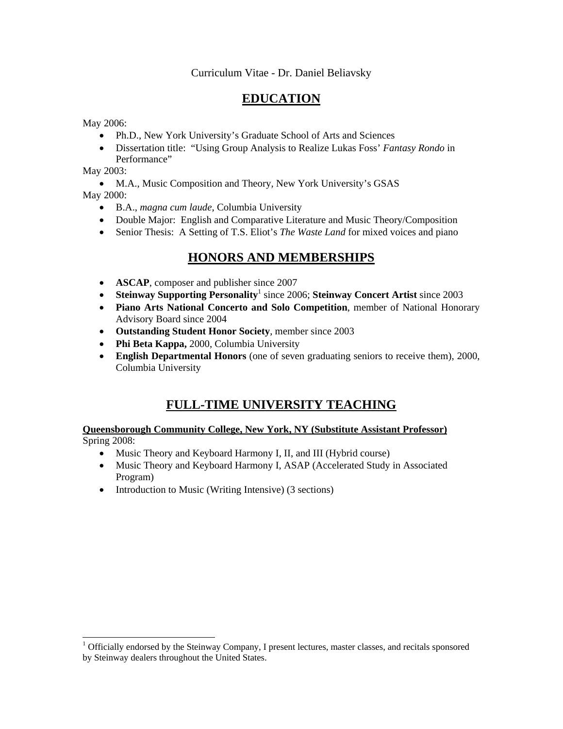## Curriculum Vitae - Dr. Daniel Beliavsky

# **EDUCATION**

May 2006:

- Ph.D., New York University's Graduate School of Arts and Sciences
- Dissertation title: "Using Group Analysis to Realize Lukas Foss' *Fantasy Rondo* in Performance"

May 2003:

• M.A., Music Composition and Theory, New York University's GSAS

May 2000:

 $\overline{\phantom{a}}$ 

- B.A., *magna cum laude*, Columbia University
- Double Major: English and Comparative Literature and Music Theory/Composition
- Senior Thesis: A Setting of T.S. Eliot's *The Waste Land* for mixed voices and piano

# **HONORS AND MEMBERSHIPS**

- **ASCAP**, composer and publisher since 2007
- Steinway Supporting Personality<sup>1</sup> since 2006; Steinway Concert Artist since 2003
- **Piano Arts National Concerto and Solo Competition**, member of National Honorary Advisory Board since 2004
- **Outstanding Student Honor Society**, member since 2003
- **Phi Beta Kappa,** 2000, Columbia University
- **English Departmental Honors** (one of seven graduating seniors to receive them), 2000, Columbia University

# **FULL-TIME UNIVERSITY TEACHING**

#### **Queensborough Community College, New York, NY (Substitute Assistant Professor)** Spring 2008:

- Music Theory and Keyboard Harmony I, II, and III (Hybrid course)
- Music Theory and Keyboard Harmony I, ASAP (Accelerated Study in Associated Program)
- Introduction to Music (Writing Intensive) (3 sections)

<sup>&</sup>lt;sup>1</sup> Officially endorsed by the Steinway Company, I present lectures, master classes, and recitals sponsored by Steinway dealers throughout the United States.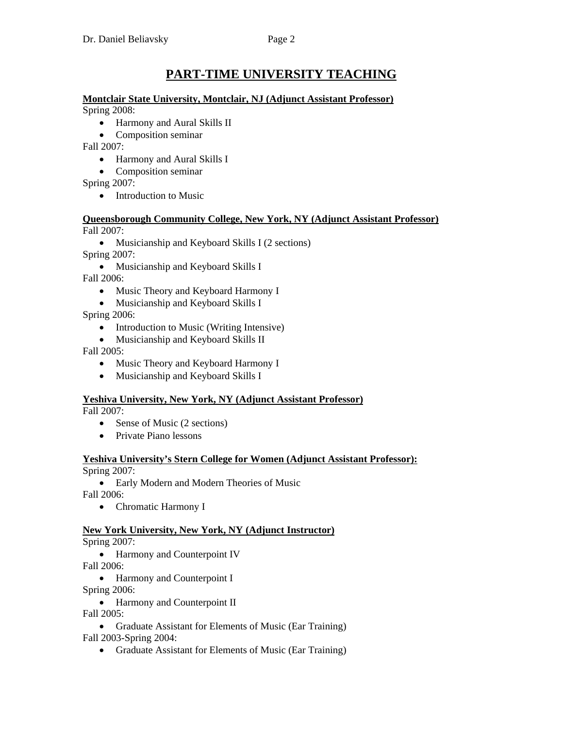# **PART-TIME UNIVERSITY TEACHING**

# **Montclair State University, Montclair, NJ (Adjunct Assistant Professor)**

Spring 2008:

- Harmony and Aural Skills II
- Composition seminar

Fall 2007:

- Harmony and Aural Skills I
- Composition seminar

Spring 2007:

• Introduction to Music

#### **Queensborough Community College, New York, NY (Adjunct Assistant Professor)** Fall 2007:

• Musicianship and Keyboard Skills I (2 sections)

Spring 2007:

• Musicianship and Keyboard Skills I

Fall 2006:

- Music Theory and Keyboard Harmony I
- Musicianship and Keyboard Skills I

Spring 2006:

- Introduction to Music (Writing Intensive)
- Musicianship and Keyboard Skills II

Fall 2005:

- Music Theory and Keyboard Harmony I
- Musicianship and Keyboard Skills I

## **Yeshiva University, New York, NY (Adjunct Assistant Professor)**

Fall 2007:

- Sense of Music (2 sections)
- Private Piano lessons

# **Yeshiva University's Stern College for Women (Adjunct Assistant Professor):**

Spring 2007:

• Early Modern and Modern Theories of Music

Fall 2006:

• Chromatic Harmony I

## **New York University, New York, NY (Adjunct Instructor)**

Spring 2007:

• Harmony and Counterpoint IV

Fall 2006:

• Harmony and Counterpoint I

Spring 2006:

• Harmony and Counterpoint II

Fall 2005:

• Graduate Assistant for Elements of Music (Ear Training) Fall 2003-Spring 2004:

• Graduate Assistant for Elements of Music (Ear Training)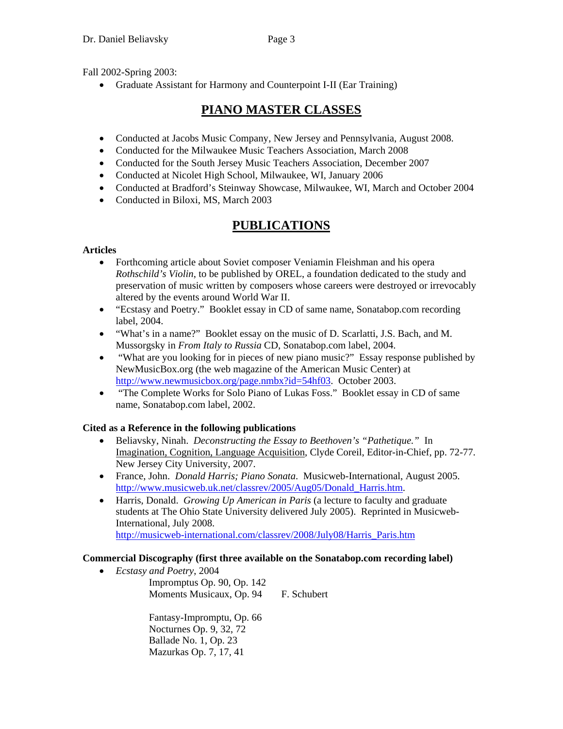• Graduate Assistant for Harmony and Counterpoint I-II (Ear Training)

# **PIANO MASTER CLASSES**

- Conducted at Jacobs Music Company, New Jersey and Pennsylvania, August 2008.
- Conducted for the Milwaukee Music Teachers Association, March 2008
- Conducted for the South Jersey Music Teachers Association, December 2007
- Conducted at Nicolet High School, Milwaukee, WI, January 2006
- Conducted at Bradford's Steinway Showcase, Milwaukee, WI, March and October 2004
- Conducted in Biloxi, MS, March 2003

# **PUBLICATIONS**

# **Articles**

- Forthcoming article about Soviet composer Veniamin Fleishman and his opera *Rothschild's Violin*, to be published by OREL, a foundation dedicated to the study and preservation of music written by composers whose careers were destroyed or irrevocably altered by the events around World War II.
- "Ecstasy and Poetry." Booklet essay in CD of same name, Sonatabop.com recording label, 2004.
- "What's in a name?" Booklet essay on the music of D. Scarlatti, J.S. Bach, and M. Mussorgsky in *From Italy to Russia* CD, Sonatabop.com label, 2004.
- "What are you looking for in pieces of new piano music?" Essay response published by NewMusicBox.org (the web magazine of the American Music Center) at http://www.newmusicbox.org/page.nmbx?id=54hf03. October 2003.
- "The Complete Works for Solo Piano of Lukas Foss." Booklet essay in CD of same name, Sonatabop.com label, 2002.

# **Cited as a Reference in the following publications**

- Beliavsky, Ninah. *Deconstructing the Essay to Beethoven's "Pathetique."* In Imagination, Cognition, Language Acquisition, Clyde Coreil, Editor-in-Chief, pp. 72-77. New Jersey City University, 2007.
- France, John. *Donald Harris; Piano Sonata*. Musicweb-International, August 2005. http://www.musicweb.uk.net/classrev/2005/Aug05/Donald\_Harris.htm.
- Harris, Donald. *Growing Up American in Paris* (a lecture to faculty and graduate students at The Ohio State University delivered July 2005). Reprinted in Musicweb-International, July 2008. http://musicweb-international.com/classrev/2008/July08/Harris\_Paris.htm

# **Commercial Discography (first three available on the Sonatabop.com recording label)**

• *Ecstasy and Poetry*, 2004 Impromptus Op. 90, Op. 142 Moments Musicaux, Op. 94 F. Schubert

> Fantasy-Impromptu, Op. 66 Nocturnes Op. 9, 32, 72 Ballade No. 1, Op. 23 Mazurkas Op. 7, 17, 41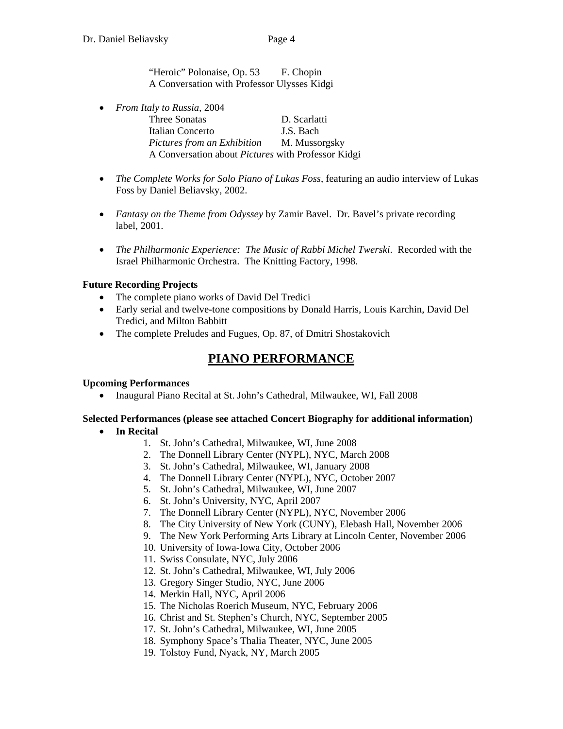"Heroic" Polonaise, Op. 53 F. Chopin A Conversation with Professor Ulysses Kidgi

- *From Italy to Russia*, 2004 Three Sonatas D. Scarlatti Italian Concerto J.S. Bach *Pictures from an Exhibition* M. Mussorgsky A Conversation about *Pictures* with Professor Kidgi
- *The Complete Works for Solo Piano of Lukas Foss*, featuring an audio interview of Lukas Foss by Daniel Beliavsky, 2002.
- *Fantasy on the Theme from Odyssey* by Zamir Bavel. Dr. Bavel's private recording label, 2001.
- *The Philharmonic Experience: The Music of Rabbi Michel Twerski*. Recorded with the Israel Philharmonic Orchestra. The Knitting Factory, 1998.

## **Future Recording Projects**

- The complete piano works of David Del Tredici
- Early serial and twelve-tone compositions by Donald Harris, Louis Karchin, David Del Tredici, and Milton Babbitt
- The complete Preludes and Fugues, Op. 87, of Dmitri Shostakovich

# **PIANO PERFORMANCE**

#### **Upcoming Performances**

• Inaugural Piano Recital at St. John's Cathedral, Milwaukee, WI, Fall 2008

## **Selected Performances (please see attached Concert Biography for additional information)**

## • **In Recital**

- 1. St. John's Cathedral, Milwaukee, WI, June 2008
- 2. The Donnell Library Center (NYPL), NYC, March 2008
- 3. St. John's Cathedral, Milwaukee, WI, January 2008
- 4. The Donnell Library Center (NYPL), NYC, October 2007
- 5. St. John's Cathedral, Milwaukee, WI, June 2007
- 6. St. John's University, NYC, April 2007
- 7. The Donnell Library Center (NYPL), NYC, November 2006
- 8. The City University of New York (CUNY), Elebash Hall, November 2006
- 9. The New York Performing Arts Library at Lincoln Center, November 2006
- 10. University of Iowa-Iowa City, October 2006
- 11. Swiss Consulate, NYC, July 2006
- 12. St. John's Cathedral, Milwaukee, WI, July 2006
- 13. Gregory Singer Studio, NYC, June 2006
- 14. Merkin Hall, NYC, April 2006
- 15. The Nicholas Roerich Museum, NYC, February 2006
- 16. Christ and St. Stephen's Church, NYC, September 2005
- 17. St. John's Cathedral, Milwaukee, WI, June 2005
- 18. Symphony Space's Thalia Theater, NYC, June 2005
- 19. Tolstoy Fund, Nyack, NY, March 2005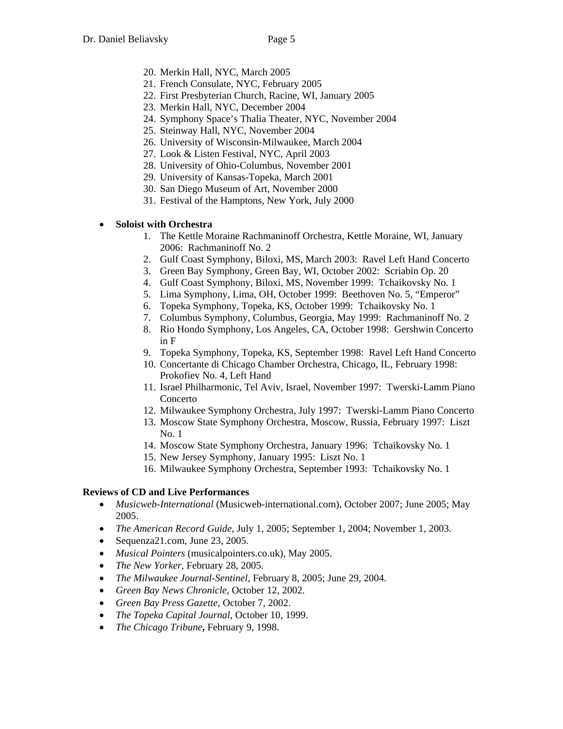- 20. Merkin Hall, NYC, March 2005
- 21. French Consulate, NYC, February 2005
- 22. First Presbyterian Church, Racine, WI, January 2005
- 23. Merkin Hall, NYC, December 2004
- 24. Symphony Space's Thalia Theater, NYC, November 2004
- 25. Steinway Hall, NYC, November 2004
- 26. University of Wisconsin-Milwaukee, March 2004
- 27. Look & Listen Festival, NYC, April 2003
- 28. University of Ohio-Columbus, November 2001
- 29. University of Kansas-Topeka, March 2001
- 30. San Diego Museum of Art, November 2000
- 31. Festival of the Hamptons, New York, July 2000

## • **Soloist with Orchestra**

- 1. The Kettle Moraine Rachmaninoff Orchestra, Kettle Moraine, WI, January 2006: Rachmaninoff No. 2
- 2. Gulf Coast Symphony, Biloxi, MS, March 2003: Ravel Left Hand Concerto
- 3. Green Bay Symphony, Green Bay, WI, October 2002: Scriabin Op. 20
- 4. Gulf Coast Symphony, Biloxi, MS, November 1999: Tchaikovsky No. 1
- 5. Lima Symphony, Lima, OH, October 1999: Beethoven No. 5, "Emperor"
- 6. Topeka Symphony, Topeka, KS, October 1999: Tchaikovsky No. 1
- 7. Columbus Symphony, Columbus, Georgia, May 1999: Rachmaninoff No. 2
- 8. Rio Hondo Symphony, Los Angeles, CA, October 1998: Gershwin Concerto in F
- 9. Topeka Symphony, Topeka, KS, September 1998: Ravel Left Hand Concerto
- 10. Concertante di Chicago Chamber Orchestra, Chicago, IL, February 1998: Prokofiev No. 4, Left Hand
- 11. Israel Philharmonic, Tel Aviv, Israel, November 1997: Twerski-Lamm Piano Concerto
- 12. Milwaukee Symphony Orchestra, July 1997: Twerski-Lamm Piano Concerto
- 13. Moscow State Symphony Orchestra, Moscow, Russia, February 1997: Liszt No. 1
- 14. Moscow State Symphony Orchestra, January 1996: Tchaikovsky No. 1
- 15. New Jersey Symphony, January 1995: Liszt No. 1
- 16. Milwaukee Symphony Orchestra, September 1993: Tchaikovsky No. 1

## **Reviews of CD and Live Performances**

- *Musicweb-International* (Musicweb-international.com), October 2007; June 2005; May 2005.
- *The American Record Guide*, July 1, 2005; September 1, 2004; November 1, 2003.
- Sequenza21.com, June 23, 2005.
- *Musical Pointers* (musicalpointers.co.uk), May 2005.
- *The New Yorker*, February 28, 2005.
- *The Milwaukee Journal-Sentinel*, February 8, 2005; June 29, 2004.
- *Green Bay News Chronicle*, October 12, 2002.
- *Green Bay Press Gazette*, October 7, 2002.
- *The Topeka Capital Journal*, October 10, 1999.
- *The Chicago Tribune***,** February 9, 1998.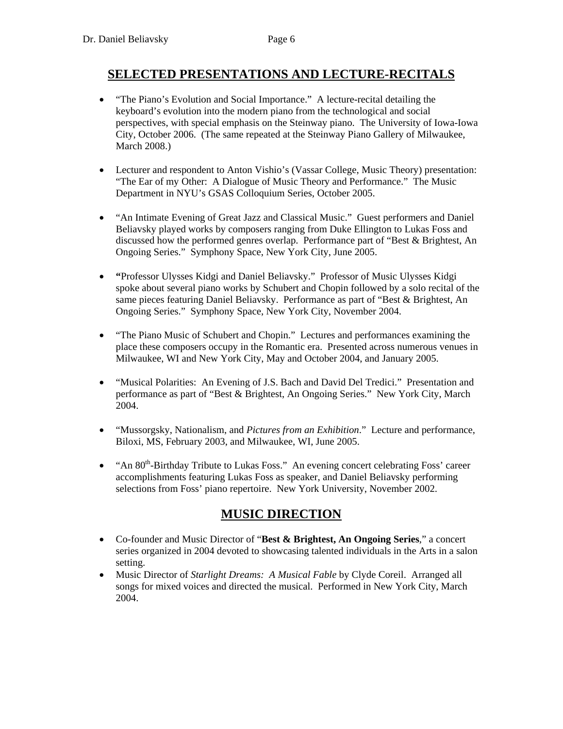# **SELECTED PRESENTATIONS AND LECTURE-RECITALS**

- "The Piano's Evolution and Social Importance." A lecture-recital detailing the keyboard's evolution into the modern piano from the technological and social perspectives, with special emphasis on the Steinway piano. The University of Iowa-Iowa City, October 2006. (The same repeated at the Steinway Piano Gallery of Milwaukee, March 2008.)
- Lecturer and respondent to Anton Vishio's (Vassar College, Music Theory) presentation: "The Ear of my Other: A Dialogue of Music Theory and Performance." The Music Department in NYU's GSAS Colloquium Series, October 2005.
- "An Intimate Evening of Great Jazz and Classical Music." Guest performers and Daniel Beliavsky played works by composers ranging from Duke Ellington to Lukas Foss and discussed how the performed genres overlap. Performance part of "Best & Brightest, An Ongoing Series." Symphony Space, New York City, June 2005.
- **"**Professor Ulysses Kidgi and Daniel Beliavsky." Professor of Music Ulysses Kidgi spoke about several piano works by Schubert and Chopin followed by a solo recital of the same pieces featuring Daniel Beliavsky. Performance as part of "Best & Brightest, An Ongoing Series." Symphony Space, New York City, November 2004.
- "The Piano Music of Schubert and Chopin." Lectures and performances examining the place these composers occupy in the Romantic era. Presented across numerous venues in Milwaukee, WI and New York City, May and October 2004, and January 2005.
- "Musical Polarities: An Evening of J.S. Bach and David Del Tredici." Presentation and performance as part of "Best & Brightest, An Ongoing Series." New York City, March 2004.
- "Mussorgsky, Nationalism, and *Pictures from an Exhibition*." Lecture and performance, Biloxi, MS, February 2003, and Milwaukee, WI, June 2005.
- "An 80<sup>th</sup>-Birthday Tribute to Lukas Foss." An evening concert celebrating Foss' career accomplishments featuring Lukas Foss as speaker, and Daniel Beliavsky performing selections from Foss' piano repertoire. New York University, November 2002.

# **MUSIC DIRECTION**

- Co-founder and Music Director of "**Best & Brightest, An Ongoing Series**," a concert series organized in 2004 devoted to showcasing talented individuals in the Arts in a salon setting.
- Music Director of *Starlight Dreams: A Musical Fable* by Clyde Coreil. Arranged all songs for mixed voices and directed the musical. Performed in New York City, March 2004.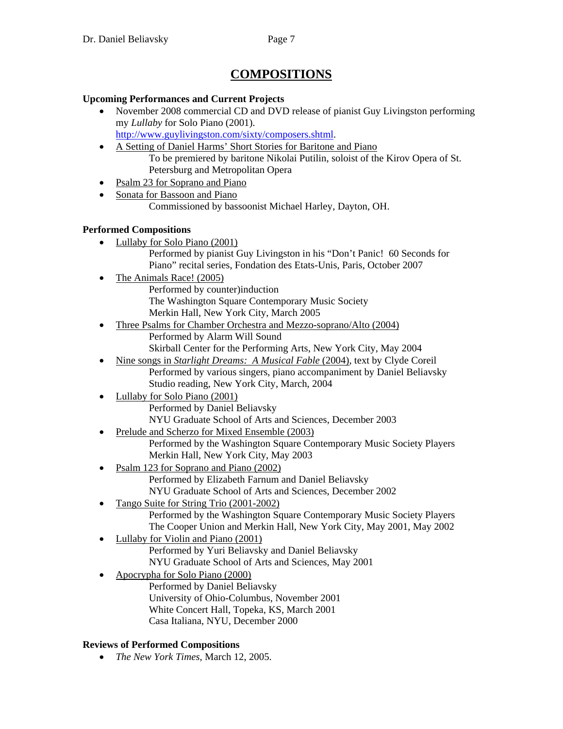# **COMPOSITIONS**

## **Upcoming Performances and Current Projects**

- November 2008 commercial CD and DVD release of pianist Guy Livingston performing my *Lullaby* for Solo Piano (2001). http://www.guylivingston.com/sixty/composers.shtml.
- A Setting of Daniel Harms' Short Stories for Baritone and Piano To be premiered by baritone Nikolai Putilin, soloist of the Kirov Opera of St. Petersburg and Metropolitan Opera
- Psalm 23 for Soprano and Piano
- Sonata for Bassoon and Piano

Commissioned by bassoonist Michael Harley, Dayton, OH.

## **Performed Compositions**

- Lullaby for Solo Piano (2001) Performed by pianist Guy Livingston in his "Don't Panic! 60 Seconds for Piano" recital series, Fondation des Etats-Unis, Paris, October 2007
- The Animals Race! (2005) Performed by counter)induction The Washington Square Contemporary Music Society Merkin Hall, New York City, March 2005
- Three Psalms for Chamber Orchestra and Mezzo-soprano/Alto (2004) Performed by Alarm Will Sound Skirball Center for the Performing Arts, New York City, May 2004
	- Nine songs in *Starlight Dreams: A Musical Fable* (2004), text by Clyde Coreil
	- Performed by various singers, piano accompaniment by Daniel Beliavsky Studio reading, New York City, March, 2004
- Lullaby for Solo Piano (2001) Performed by Daniel Beliavsky NYU Graduate School of Arts and Sciences, December 2003
- Prelude and Scherzo for Mixed Ensemble (2003) Performed by the Washington Square Contemporary Music Society Players Merkin Hall, New York City, May 2003
- Psalm 123 for Soprano and Piano (2002) Performed by Elizabeth Farnum and Daniel Beliavsky NYU Graduate School of Arts and Sciences, December 2002
- Tango Suite for String Trio (2001-2002) Performed by the Washington Square Contemporary Music Society Players The Cooper Union and Merkin Hall, New York City, May 2001, May 2002
- Lullaby for Violin and Piano (2001) Performed by Yuri Beliavsky and Daniel Beliavsky NYU Graduate School of Arts and Sciences, May 2001
- Apocrypha for Solo Piano (2000) Performed by Daniel Beliavsky University of Ohio-Columbus, November 2001 White Concert Hall, Topeka, KS, March 2001 Casa Italiana, NYU, December 2000

# **Reviews of Performed Compositions**

• *The New York Times*, March 12, 2005.